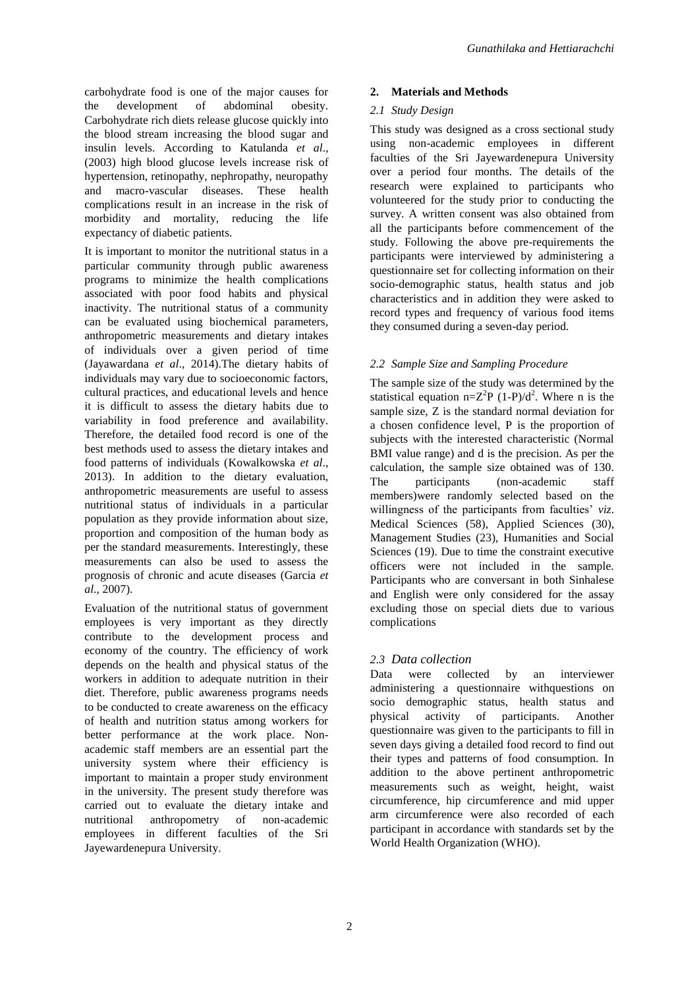carbohydrate food is one of the major causes for the development of abdominal obesity. Carbohydrate rich diets release glucose quickly into the blood stream increasing the blood sugar and insulin levels. According to Katulanda *et al*., (2003) high blood glucose levels increase risk of hypertension, retinopathy, nephropathy, neuropathy and macro-vascular diseases. These health complications result in an increase in the risk of morbidity and mortality, reducing the life expectancy of diabetic patients.

It is important to monitor the nutritional status in a particular community through public awareness programs to minimize the health complications associated with poor food habits and physical inactivity. The nutritional status of a community can be evaluated using biochemical parameters, anthropometric measurements and dietary intakes of individuals over a given period of time (Jayawardana *et al*., 2014).The dietary habits of individuals may vary due to socioeconomic factors, cultural practices, and educational levels and hence it is difficult to assess the dietary habits due to variability in food preference and availability. Therefore, the detailed food record is one of the best methods used to assess the dietary intakes and food patterns of individuals (Kowalkowska *et al*., 2013). In addition to the dietary evaluation, anthropometric measurements are useful to assess nutritional status of individuals in a particular population as they provide information about size, proportion and composition of the human body as per the standard measurements. Interestingly, these measurements can also be used to assess the prognosis of chronic and acute diseases (Garcia *et al*., 2007).

Evaluation of the nutritional status of government employees is very important as they directly contribute to the development process and economy of the country. The efficiency of work depends on the health and physical status of the workers in addition to adequate nutrition in their diet. Therefore, public awareness programs needs to be conducted to create awareness on the efficacy of health and nutrition status among workers for better performance at the work place. Nonacademic staff members are an essential part the university system where their efficiency is important to maintain a proper study environment in the university. The present study therefore was carried out to evaluate the dietary intake and nutritional anthropometry of non-academic employees in different faculties of the Sri Jayewardenepura University.

# **2. Materials and Methods**

## *2.1 Study Design*

This study was designed as a cross sectional study using non-academic employees in different faculties of the Sri Jayewardenepura University over a period four months. The details of the research were explained to participants who volunteered for the study prior to conducting the survey. A written consent was also obtained from all the participants before commencement of the study. Following the above pre-requirements the participants were interviewed by administering a questionnaire set for collecting information on their socio-demographic status, health status and job characteristics and in addition they were asked to record types and frequency of various food items they consumed during a seven-day period.

# *2.2 Sample Size and Sampling Procedure*

The sample size of the study was determined by the statistical equation  $n=Z^2P(1-P)/d^2$ . Where n is the sample size, Z is the standard normal deviation for a chosen confidence level, P is the proportion of subjects with the interested characteristic (Normal BMI value range) and d is the precision. As per the calculation, the sample size obtained was of 130. The participants (non-academic staff members)were randomly selected based on the willingness of the participants from faculties' *viz*. Medical Sciences (58), Applied Sciences (30), Management Studies (23), Humanities and Social Sciences (19). Due to time the constraint executive officers were not included in the sample. Participants who are conversant in both Sinhalese and English were only considered for the assay excluding those on special diets due to various complications

# *2.3 Data collection*

Data were collected by an interviewer administering a questionnaire withquestions on socio demographic status, health status and physical activity of participants. Another questionnaire was given to the participants to fill in seven days giving a detailed food record to find out their types and patterns of food consumption. In addition to the above pertinent anthropometric measurements such as weight, height, waist circumference, hip circumference and mid upper arm circumference were also recorded of each participant in accordance with standards set by the World Health Organization (WHO).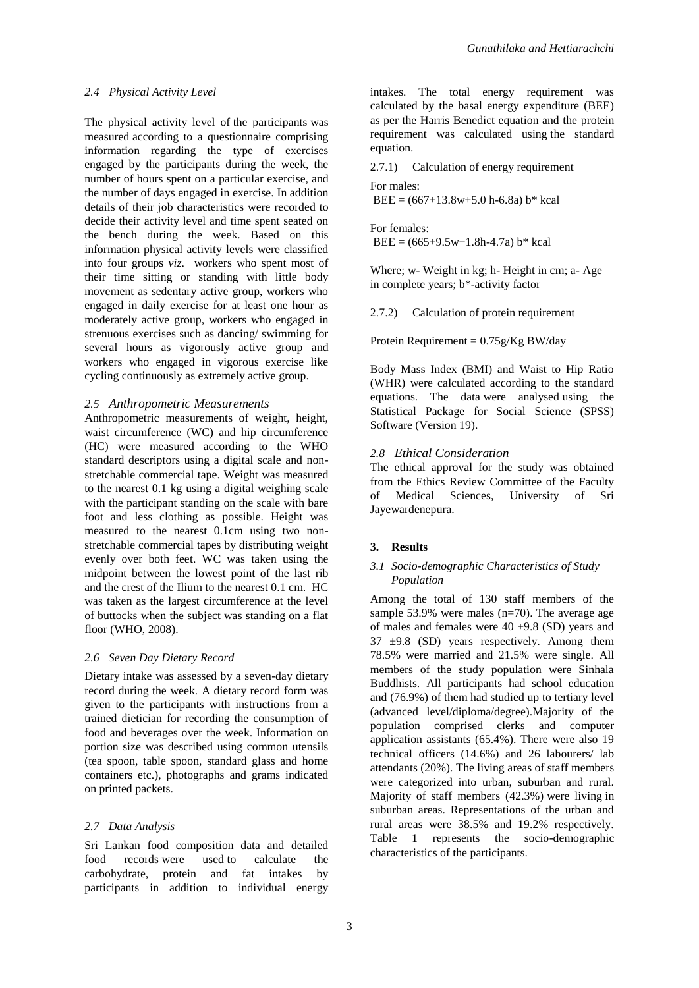### *2.4 Physical Activity Level*

The physical activity level of the participants was measured according to a questionnaire comprising information regarding the type of exercises engaged by the participants during the week, the number of hours spent on a particular exercise, and the number of days engaged in exercise. In addition details of their job characteristics were recorded to decide their activity level and time spent seated on the bench during the week. Based on this information physical activity levels were classified into four groups *viz*. workers who spent most of their time sitting or standing with little body movement as sedentary active group, workers who engaged in daily exercise for at least one hour as moderately active group, workers who engaged in strenuous exercises such as dancing/ swimming for several hours as vigorously active group and workers who engaged in vigorous exercise like cycling continuously as extremely active group.

### *2.5 Anthropometric Measurements*

Anthropometric measurements of weight, height, waist circumference (WC) and hip circumference (HC) were measured according to the WHO standard descriptors using a digital scale and nonstretchable commercial tape. Weight was measured to the nearest 0.1 kg using a digital weighing scale with the participant standing on the scale with bare foot and less clothing as possible. Height was measured to the nearest 0.1cm using two nonstretchable commercial tapes by distributing weight evenly over both feet. WC was taken using the midpoint between the lowest point of the last rib and the crest of the Ilium to the nearest 0.1 cm. HC was taken as the largest circumference at the level of buttocks when the subject was standing on a flat floor (WHO, 2008).

#### *2.6 Seven Day Dietary Record*

Dietary intake was assessed by a seven-day dietary record during the week. A dietary record form was given to the participants with instructions from a trained dietician for recording the consumption of food and beverages over the week. Information on portion size was described using common utensils (tea spoon, table spoon, standard glass and home containers etc.), photographs and grams indicated on printed packets.

## *2.7 Data Analysis*

Sri Lankan food composition data and detailed food records were used to calculate the carbohydrate, protein and fat intakes by participants in addition to individual energy intakes. The total energy requirement was calculated by the basal energy expenditure (BEE) as per the Harris Benedict equation and the protein requirement was calculated using the standard equation.

2.7.1) Calculation of energy requirement For males:

 $BEE = (667+13.8w+5.0 h-6.8a) b* kcal$ 

For females:  $BEE = (665+9.5w+1.8h-4.7a) b* kcal$ 

Where; w- Weight in kg; h- Height in cm; a- Age in complete years; b\*-activity factor

2.7.2) Calculation of protein requirement

Protein Requirement =  $0.75g/Kg$  BW/day

Body Mass Index (BMI) and Waist to Hip Ratio (WHR) were calculated according to the standard equations. The data were analysed using the Statistical Package for Social Science (SPSS) Software (Version 19).

## *2.8 Ethical Consideration*

The ethical approval for the study was obtained from the Ethics Review Committee of the Faculty of Medical Sciences, University of Sri Jayewardenepura.

## **3. Results**

## *3.1 Socio-demographic Characteristics of Study Population*

Among the total of 130 staff members of the sample 53.9% were males (n=70). The average age of males and females were  $40 \pm 9.8$  (SD) years and  $37 \pm 9.8$  (SD) years respectively. Among them 78.5% were married and 21.5% were single. All members of the study population were Sinhala Buddhists. All participants had school education and (76.9%) of them had studied up to tertiary level (advanced level/diploma/degree).Majority of the population comprised clerks and computer application assistants (65.4%). There were also 19 technical officers (14.6%) and 26 labourers/ lab attendants (20%). The living areas of staff members were categorized into urban, suburban and rural. Majority of staff members (42.3%) were living in suburban areas. Representations of the urban and rural areas were 38.5% and 19.2% respectively. Table 1 represents the socio-demographic characteristics of the participants.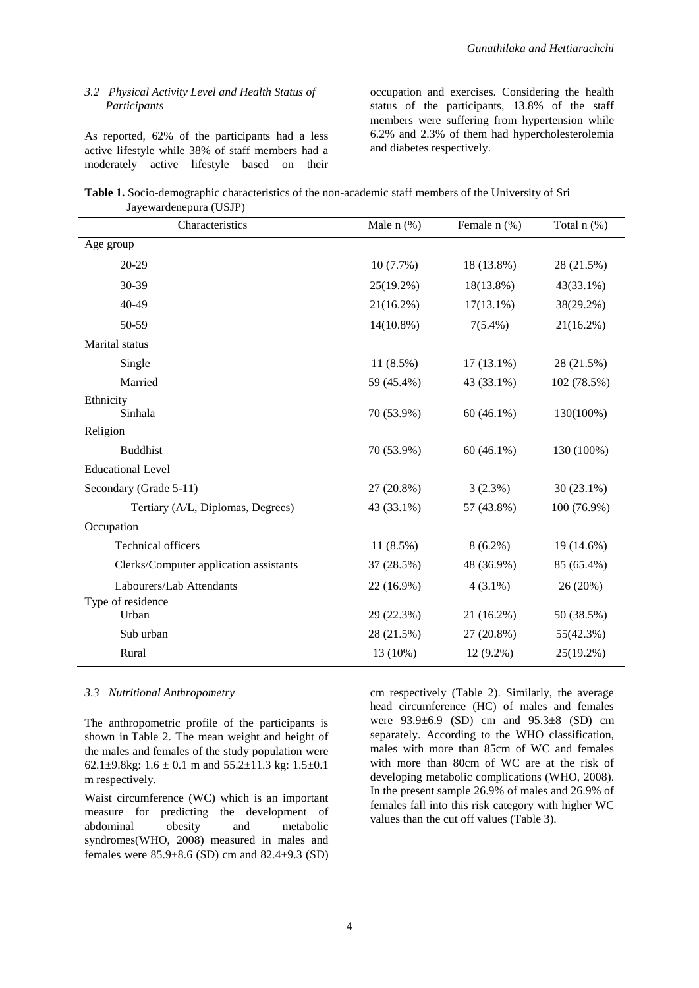### *3.2 Physical Activity Level and Health Status of Participants*

As reported, 62% of the participants had a less active lifestyle while 38% of staff members had a moderately active lifestyle based on their

occupation and exercises. Considering the health status of the participants, 13.8% of the staff members were suffering from hypertension while 6.2% and 2.3% of them had hypercholesterolemia and diabetes respectively.

**Table 1.** Socio-demographic characteristics of the non-academic staff members of the University of Sri Jayewardenepura (USJP)

| Characteristics                        | Male $n$ (%) | Female $n$ (%) | Total n (%)  |
|----------------------------------------|--------------|----------------|--------------|
| Age group                              |              |                |              |
| 20-29                                  | 10(7.7%)     | 18 (13.8%)     | 28 (21.5%)   |
| 30-39                                  | $25(19.2\%)$ | 18(13.8%)      | 43(33.1%)    |
| 40-49                                  | $21(16.2\%)$ | $17(13.1\%)$   | 38(29.2%)    |
| 50-59                                  | $14(10.8\%)$ | $7(5.4\%)$     | $21(16.2\%)$ |
| Marital status                         |              |                |              |
| Single                                 | $11(8.5\%)$  | $17(13.1\%)$   | 28 (21.5%)   |
| Married                                | 59 (45.4%)   | 43 (33.1%)     | 102 (78.5%)  |
| Ethnicity<br>Sinhala                   | 70 (53.9%)   | $60(46.1\%)$   | 130(100%)    |
| Religion                               |              |                |              |
| <b>Buddhist</b>                        | 70 (53.9%)   | $60(46.1\%)$   | 130 (100%)   |
| <b>Educational Level</b>               |              |                |              |
| Secondary (Grade 5-11)                 | 27 (20.8%)   | $3(2.3\%)$     | $30(23.1\%)$ |
| Tertiary (A/L, Diplomas, Degrees)      | 43 (33.1%)   | 57 (43.8%)     | 100 (76.9%)  |
| Occupation                             |              |                |              |
| <b>Technical officers</b>              | $11(8.5\%)$  | $8(6.2\%)$     | 19 (14.6%)   |
| Clerks/Computer application assistants | 37 (28.5%)   | 48 (36.9%)     | 85 (65.4%)   |
| Labourers/Lab Attendants               | 22 (16.9%)   | $4(3.1\%)$     | 26 (20%)     |
| Type of residence<br>Urban             | 29 (22.3%)   | 21 (16.2%)     | 50 (38.5%)   |
| Sub urban                              | 28 (21.5%)   | 27 (20.8%)     | 55(42.3%)    |
| Rural                                  | 13 (10%)     | 12 (9.2%)      | 25(19.2%)    |

### *3.3 Nutritional Anthropometry*

The anthropometric profile of the participants is shown in Table 2. The mean weight and height of the males and females of the study population were 62.1 $\pm$ 9.8kg: 1.6  $\pm$  0.1 m and 55.2 $\pm$ 11.3 kg: 1.5 $\pm$ 0.1 m respectively.

Waist circumference (WC) which is an important measure for predicting the development of abdominal obesity and metabolic syndromes(WHO, 2008) measured in males and females were 85.9±8.6 (SD) cm and 82.4±9.3 (SD) cm respectively (Table 2). Similarly, the average head circumference (HC) of males and females were 93.9±6.9 (SD) cm and 95.3±8 (SD) cm separately. According to the WHO classification, males with more than 85cm of WC and females with more than 80cm of WC are at the risk of developing metabolic complications (WHO, 2008). In the present sample 26.9% of males and 26.9% of females fall into this risk category with higher WC values than the cut off values (Table 3).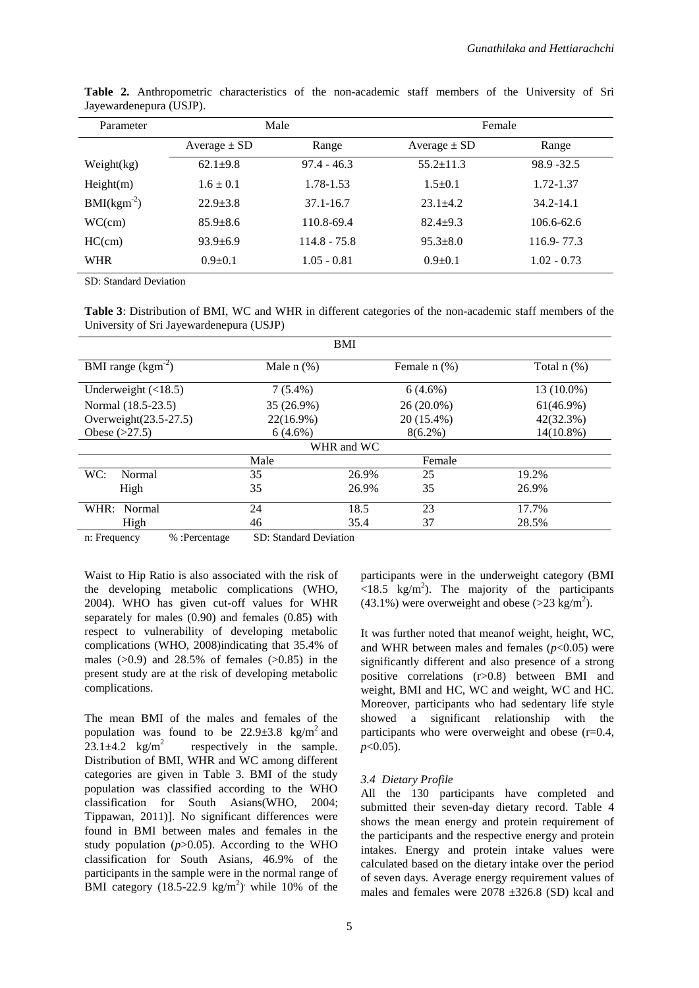| Parameter    |                  | Male           | Female           |                |  |
|--------------|------------------|----------------|------------------|----------------|--|
|              | Average $\pm$ SD | Range          | Average $\pm$ SD | Range          |  |
| Weight(kg)   | $62.1 + 9.8$     | $97.4 - 46.3$  | $55.2 \pm 11.3$  | 98.9 - 32.5    |  |
| Height(m)    | $1.6 \pm 0.1$    | 1.78-1.53      | $1.5+0.1$        | 1.72-1.37      |  |
| $BMI(kgm-2)$ | $22.9 + 3.8$     | 37.1-16.7      | $23.1 + 4.2$     | $34.2 - 14.1$  |  |
| WC(cm)       | $85.9 + 8.6$     | 110.8-69.4     | $82.4+9.3$       | $106.6 - 62.6$ |  |
| HC(cm)       | $93.9 + 6.9$     | $114.8 - 75.8$ | $95.3 + 8.0$     | $116.9 - 77.3$ |  |
| <b>WHR</b>   | $0.9 + 0.1$      | $1.05 - 0.81$  | $0.9 \pm 0.1$    | $1.02 - 0.73$  |  |

**Table 2.** Anthropometric characteristics of the non-academic staff members of the University of Sri Jayewardenepura (USJP).

SD: Standard Deviation

**Table 3**: Distribution of BMI, WC and WHR in different categories of the non-academic staff members of the University of Sri Jayewardenepura (USJP)

| <b>BMI</b>      |       |                   |                  |  |  |  |  |
|-----------------|-------|-------------------|------------------|--|--|--|--|
| Male $n$ $(\%)$ |       | Female $n$ $(\%)$ | Total $n$ $(\%)$ |  |  |  |  |
| $7(5.4\%)$      |       | $6(4.6\%)$        | 13 (10.0%)       |  |  |  |  |
| 35 (26.9%)      |       | $26(20.0\%)$      | $61(46.9\%)$     |  |  |  |  |
| $22(16.9\%)$    |       | 20 (15.4%)        | 42(32.3%)        |  |  |  |  |
| $6(4.6\%)$      |       | $8(6.2\%)$        | $14(10.8\%)$     |  |  |  |  |
|                 |       |                   |                  |  |  |  |  |
| Male            |       | Female            |                  |  |  |  |  |
| 35              | 26.9% | 25                | 19.2%            |  |  |  |  |
| 35              | 26.9% | 35                | 26.9%            |  |  |  |  |
| 24              | 18.5  | 23                | 17.7%            |  |  |  |  |
| 46              | 35.4  | 37                | 28.5%            |  |  |  |  |
|                 |       | WHR and WC        |                  |  |  |  |  |

n: Frequency % :Percentage SD: Standard Deviation

Waist to Hip Ratio is also associated with the risk of the developing metabolic complications (WHO, 2004). WHO has given cut-off values for WHR separately for males (0.90) and females (0.85) with respect to vulnerability of developing metabolic complications (WHO, 2008)indicating that 35.4% of males  $(0.9)$  and 28.5% of females  $(0.85)$  in the present study are at the risk of developing metabolic complications.

The mean BMI of the males and females of the population was found to be  $22.9 \pm 3.8$  kg/m<sup>2</sup> and 23.1 $\pm$ 4.2 kg/m<sup>2</sup> respectively in the sample. Distribution of BMI, WHR and WC among different categories are given in Table 3. BMI of the study population was classified according to the WHO classification for South Asians(WHO, 2004; Tippawan, 2011)]. No significant differences were found in BMI between males and females in the study population  $(p>0.05)$ . According to the WHO classification for South Asians, 46.9% of the participants in the sample were in the normal range of BMI category  $(18.5-22.9 \text{ kg/m}^2)$  while 10% of the participants were in the underweight category (BMI  $\langle 18.5 \text{ kg/m}^2 \rangle$ . The majority of the participants  $(43.1\%)$  were overweight and obese (>23 kg/m<sup>2</sup>).

It was further noted that meanof weight, height, WC, and WHR between males and females  $(p<0.05)$  were significantly different and also presence of a strong positive correlations (r>0.8) between BMI and weight, BMI and HC, WC and weight, WC and HC. Moreover, participants who had sedentary life style showed a significant relationship with the participants who were overweight and obese  $(r=0.4,$ *p*<0.05).

#### *3.4 Dietary Profile*

All the 130 participants have completed and submitted their seven-day dietary record. Table 4 shows the mean energy and protein requirement of the participants and the respective energy and protein intakes. Energy and protein intake values were calculated based on the dietary intake over the period of seven days. Average energy requirement values of males and females were  $2078 \pm 326.8$  (SD) kcal and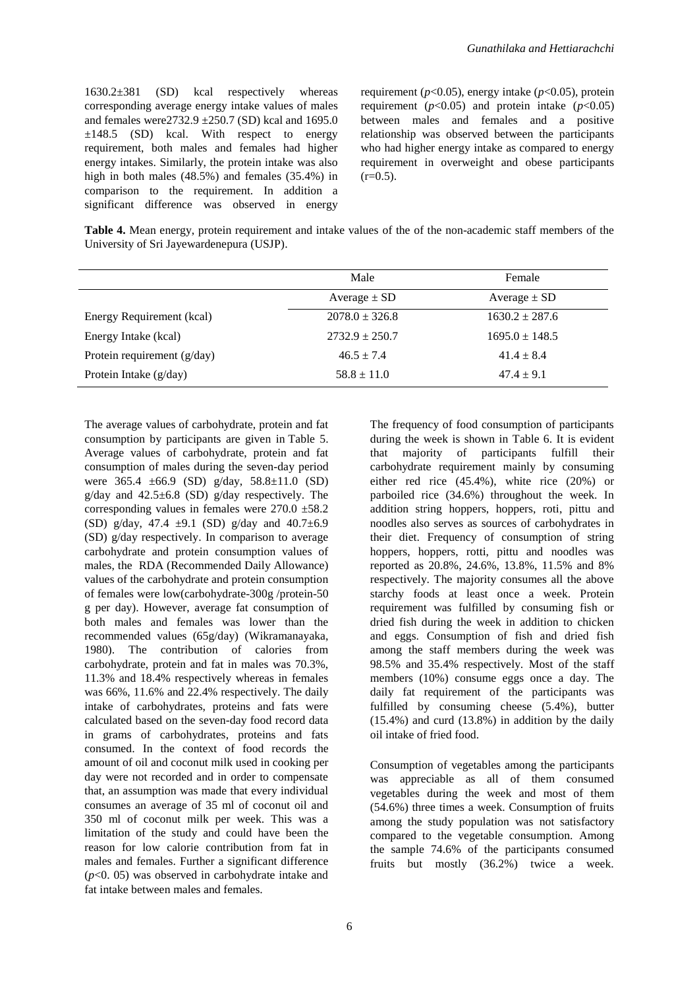1630.2±381 (SD) kcal respectively whereas corresponding average energy intake values of males and females were  $2732.9 \pm 250.7$  (SD) kcal and 1695.0  $\pm 148.5$  (SD) kcal. With respect to energy requirement, both males and females had higher energy intakes. Similarly, the protein intake was also high in both males (48.5%) and females (35.4%) in comparison to the requirement. In addition a significant difference was observed in energy

requirement (*p*<0.05), energy intake (*p*<0.05), protein requirement ( $p<0.05$ ) and protein intake ( $p<0.05$ ) between males and females and a positive relationship was observed between the participants who had higher energy intake as compared to energy requirement in overweight and obese participants  $(r=0.5)$ .

**Table 4.** Mean energy, protein requirement and intake values of the of the non-academic staff members of the University of Sri Jayewardenepura (USJP).

|                               | Male               | Female             |
|-------------------------------|--------------------|--------------------|
|                               | Average $\pm$ SD   | Average $\pm$ SD   |
| Energy Requirement (kcal)     | $2078.0 \pm 326.8$ | $1630.2 \pm 287.6$ |
| Energy Intake (kcal)          | $2732.9 \pm 250.7$ | $1695.0 \pm 148.5$ |
| Protein requirement $(g/day)$ | $46.5 \pm 7.4$     | $41.4 \pm 8.4$     |
| Protein Intake (g/day)        | $58.8 \pm 11.0$    | $47.4 \pm 9.1$     |

The average values of carbohydrate, protein and fat consumption by participants are given in Table 5. Average values of carbohydrate, protein and fat consumption of males during the seven-day period were 365.4 ±66.9 (SD) g/day, 58.8±11.0 (SD) g/day and  $42.5\pm6.8$  (SD) g/day respectively. The corresponding values in females were  $270.0 \pm 58.2$ (SD) g/day, 47.4  $\pm$ 9.1 (SD) g/day and 40.7 $\pm$ 6.9 (SD) g/day respectively. In comparison to average carbohydrate and protein consumption values of males, the RDA (Recommended Daily Allowance) values of the carbohydrate and protein consumption of females were low(carbohydrate-300g /protein-50 g per day). However, average fat consumption of both males and females was lower than the recommended values (65g/day) (Wikramanayaka, 1980). The contribution of calories from carbohydrate, protein and fat in males was 70.3%, 11.3% and 18.4% respectively whereas in females was 66%, 11.6% and 22.4% respectively. The daily intake of carbohydrates, proteins and fats were calculated based on the seven-day food record data in grams of carbohydrates, proteins and fats consumed. In the context of food records the amount of oil and coconut milk used in cooking per day were not recorded and in order to compensate that, an assumption was made that every individual consumes an average of 35 ml of coconut oil and 350 ml of coconut milk per week. This was a limitation of the study and could have been the reason for low calorie contribution from fat in males and females. Further a significant difference (*p*<0. 05) was observed in carbohydrate intake and fat intake between males and females.

The frequency of food consumption of participants during the week is shown in Table 6. It is evident that majority of participants fulfill their carbohydrate requirement mainly by consuming either red rice (45.4%), white rice (20%) or parboiled rice (34.6%) throughout the week. In addition string hoppers, hoppers, roti, pittu and noodles also serves as sources of carbohydrates in their diet. Frequency of consumption of string hoppers, hoppers, rotti, pittu and noodles was reported as 20.8%, 24.6%, 13.8%, 11.5% and 8% respectively. The majority consumes all the above starchy foods at least once a week. Protein requirement was fulfilled by consuming fish or dried fish during the week in addition to chicken and eggs. Consumption of fish and dried fish among the staff members during the week was 98.5% and 35.4% respectively. Most of the staff members (10%) consume eggs once a day. The daily fat requirement of the participants was fulfilled by consuming cheese (5.4%), butter (15.4%) and curd (13.8%) in addition by the daily oil intake of fried food.

Consumption of vegetables among the participants was appreciable as all of them consumed vegetables during the week and most of them (54.6%) three times a week. Consumption of fruits among the study population was not satisfactory compared to the vegetable consumption. Among the sample 74.6% of the participants consumed fruits but mostly (36.2%) twice a week.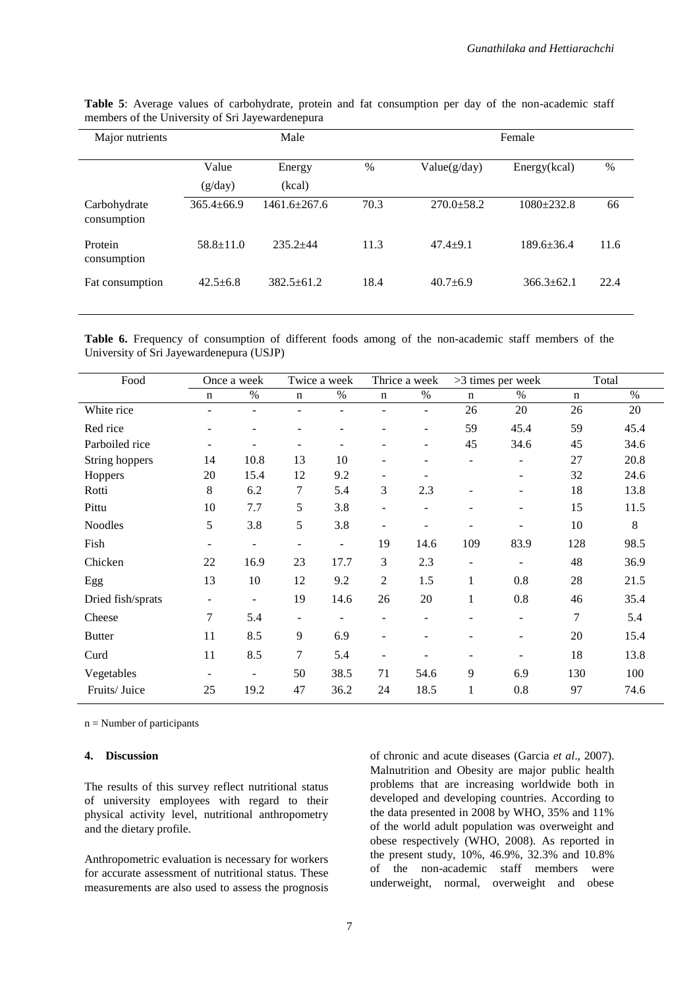| Major nutrients             |                  | Male               |      |                  | Female           |      |  |
|-----------------------------|------------------|--------------------|------|------------------|------------------|------|--|
|                             | Value<br>(g/day) | Energy<br>(kcal)   | $\%$ | Value(g/day)     | Energy(kcal)     | $\%$ |  |
| Carbohydrate<br>consumption | $365.4 \pm 66.9$ | $1461.6 \pm 267.6$ | 70.3 | $270.0 \pm 58.2$ | $1080 + 232.8$   | 66   |  |
| Protein<br>consumption      | $58.8 \pm 11.0$  | $235.2 + 44$       | 11.3 | $47.4 + 9.1$     | $189.6 \pm 36.4$ | 11.6 |  |
| Fat consumption             | $42.5 + 6.8$     | $382.5 + 61.2$     | 18.4 | $40.7 + 6.9$     | $366.3 + 62.1$   | 22.4 |  |

**Table 5**: Average values of carbohydrate, protein and fat consumption per day of the non-academic staff members of the University of Sri Jayewardenepura

**Table 6.** Frequency of consumption of different foods among of the non-academic staff members of the University of Sri Jayewardenepura (USJP)

| Food              | Once a week              |                          | Twice a week             |                          | Thrice a week            |                          | >3 times per week        |      | Total       |      |
|-------------------|--------------------------|--------------------------|--------------------------|--------------------------|--------------------------|--------------------------|--------------------------|------|-------------|------|
|                   | $\mathbf n$              | $\%$                     | n                        | $\%$                     | n                        | $\%$                     | $\mathbf n$              | $\%$ | $\mathbf n$ | $\%$ |
| White rice        | $\overline{\phantom{a}}$ | $\overline{\phantom{a}}$ | $\overline{\phantom{a}}$ | $\overline{\phantom{a}}$ | ۰                        | $\overline{\phantom{a}}$ | 26                       | 20   | 26          | 20   |
| Red rice          | $\qquad \qquad -$        | $\overline{\phantom{a}}$ | -                        |                          |                          | $\overline{\phantom{a}}$ | 59                       | 45.4 | 59          | 45.4 |
| Parboiled rice    |                          | ۰                        | $\overline{\phantom{a}}$ |                          |                          | ۰                        | 45                       | 34.6 | 45          | 34.6 |
| String hoppers    | 14                       | 10.8                     | 13                       | 10                       |                          |                          |                          |      | 27          | 20.8 |
| Hoppers           | 20                       | 15.4                     | 12                       | 9.2                      | -                        |                          |                          |      | 32          | 24.6 |
| Rotti             | 8                        | 6.2                      | 7                        | 5.4                      | 3                        | 2.3                      |                          |      | 18          | 13.8 |
| Pittu             | 10                       | 7.7                      | 5                        | 3.8                      | $\overline{\phantom{a}}$ | ۰                        |                          |      | 15          | 11.5 |
| <b>Noodles</b>    | 5                        | 3.8                      | 5                        | 3.8                      | $\overline{a}$           | $\overline{\phantom{0}}$ | $\qquad \qquad -$        |      | 10          | 8    |
| Fish              | $\overline{\phantom{a}}$ | $\overline{\phantom{0}}$ | $\overline{\phantom{a}}$ | $\overline{\phantom{a}}$ | 19                       | 14.6                     | 109                      | 83.9 | 128         | 98.5 |
| Chicken           | 22                       | 16.9                     | 23                       | 17.7                     | 3                        | 2.3                      | $\overline{\phantom{m}}$ |      | 48          | 36.9 |
| Egg               | 13                       | 10                       | 12                       | 9.2                      | 2                        | 1.5                      | $\mathbf{1}$             | 0.8  | 28          | 21.5 |
| Dried fish/sprats | $\overline{\phantom{a}}$ | -                        | 19                       | 14.6                     | 26                       | 20                       | $\mathbf{1}$             | 0.8  | 46          | 35.4 |
| Cheese            | 7                        | 5.4                      | $\overline{\phantom{a}}$ |                          |                          |                          |                          |      | 7           | 5.4  |
| <b>Butter</b>     | 11                       | 8.5                      | 9                        | 6.9                      |                          |                          |                          |      | 20          | 15.4 |
| Curd              | 11                       | 8.5                      | 7                        | 5.4                      | $\overline{\phantom{a}}$ |                          | $\qquad \qquad -$        |      | 18          | 13.8 |
| Vegetables        | $\overline{\phantom{a}}$ | $\overline{\phantom{a}}$ | 50                       | 38.5                     | 71                       | 54.6                     | 9                        | 6.9  | 130         | 100  |
| Fruits/Juice      | 25                       | 19.2                     | 47                       | 36.2                     | 24                       | 18.5                     | 1                        | 0.8  | 97          | 74.6 |

 $n =$  Number of participants

### **4. Discussion**

The results of this survey reflect nutritional status of university employees with regard to their physical activity level, nutritional anthropometry and the dietary profile.

Anthropometric evaluation is necessary for workers for accurate assessment of nutritional status. These measurements are also used to assess the prognosis of chronic and acute diseases (Garcia *et al*., 2007). Malnutrition and Obesity are major public health problems that are increasing worldwide both in developed and developing countries. According to the data presented in 2008 by WHO, 35% and 11% of the world adult population was overweight and obese respectively (WHO, 2008). As reported in the present study, 10%, 46.9%, 32.3% and 10.8% of the non-academic staff members were underweight, normal, overweight and obese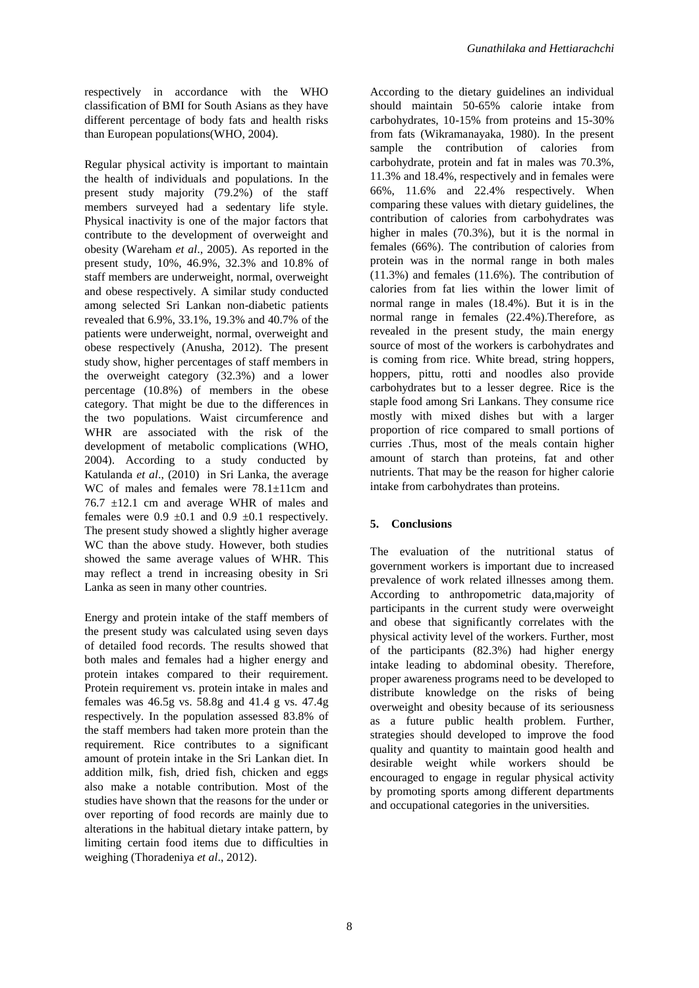respectively in accordance with the WHO classification of BMI for South Asians as they have different percentage of body fats and health risks than European populations(WHO, 2004).

Regular physical activity is important to maintain the health of individuals and populations. In the present study majority (79.2%) of the staff members surveyed had a sedentary life style. Physical inactivity is one of the major factors that contribute to the development of overweight and obesity (Wareham *et al*., 2005). As reported in the present study, 10%, 46.9%, 32.3% and 10.8% of staff members are underweight, normal, overweight and obese respectively. A similar study conducted among selected Sri Lankan non-diabetic patients revealed that 6.9%, 33.1%, 19.3% and 40.7% of the patients were underweight, normal, overweight and obese respectively (Anusha, 2012). The present study show, higher percentages of staff members in the overweight category (32.3%) and a lower percentage (10.8%) of members in the obese category. That might be due to the differences in the two populations. Waist circumference and WHR are associated with the risk of the development of metabolic complications (WHO, 2004). According to a study conducted by Katulanda *et al*., (2010) in Sri Lanka, the average WC of males and females were  $78.1 \pm 11$ cm and 76.7 ±12.1 cm and average WHR of males and females were  $0.9 \pm 0.1$  and  $0.9 \pm 0.1$  respectively. The present study showed a slightly higher average WC than the above study. However, both studies showed the same average values of WHR. This may reflect a trend in increasing obesity in Sri Lanka as seen in many other countries.

Energy and protein intake of the staff members of the present study was calculated using seven days of detailed food records. The results showed that both males and females had a higher energy and protein intakes compared to their requirement. Protein requirement vs. protein intake in males and females was 46.5g vs. 58.8g and 41.4 g vs. 47.4g respectively. In the population assessed 83.8% of the staff members had taken more protein than the requirement. Rice contributes to a significant amount of protein intake in the Sri Lankan diet. In addition milk, fish, dried fish, chicken and eggs also make a notable contribution. Most of the studies have shown that the reasons for the under or over reporting of food records are mainly due to alterations in the habitual dietary intake pattern, by limiting certain food items due to difficulties in weighing (Thoradeniya *et al*., 2012).

According to the dietary guidelines an individual should maintain 50-65% calorie intake from carbohydrates, 10-15% from proteins and 15-30% from fats (Wikramanayaka, 1980). In the present sample the contribution of calories from carbohydrate, protein and fat in males was 70.3%, 11.3% and 18.4%, respectively and in females were 66%, 11.6% and 22.4% respectively. When comparing these values with dietary guidelines, the contribution of calories from carbohydrates was higher in males (70.3%), but it is the normal in females (66%). The contribution of calories from protein was in the normal range in both males (11.3%) and females (11.6%). The contribution of calories from fat lies within the lower limit of normal range in males (18.4%). But it is in the normal range in females (22.4%).Therefore, as revealed in the present study, the main energy source of most of the workers is carbohydrates and is coming from rice. White bread, string hoppers, hoppers, pittu, rotti and noodles also provide carbohydrates but to a lesser degree. Rice is the staple food among Sri Lankans. They consume rice mostly with mixed dishes but with a larger proportion of rice compared to small portions of curries .Thus, most of the meals contain higher amount of starch than proteins, fat and other nutrients. That may be the reason for higher calorie intake from carbohydrates than proteins.

# **5. Conclusions**

The evaluation of the nutritional status of government workers is important due to increased prevalence of work related illnesses among them. According to anthropometric data,majority of participants in the current study were overweight and obese that significantly correlates with the physical activity level of the workers. Further, most of the participants (82.3%) had higher energy intake leading to abdominal obesity. Therefore, proper awareness programs need to be developed to distribute knowledge on the risks of being overweight and obesity because of its seriousness as a future public health problem. Further, strategies should developed to improve the food quality and quantity to maintain good health and desirable weight while workers should be encouraged to engage in regular physical activity by promoting sports among different departments and occupational categories in the universities.